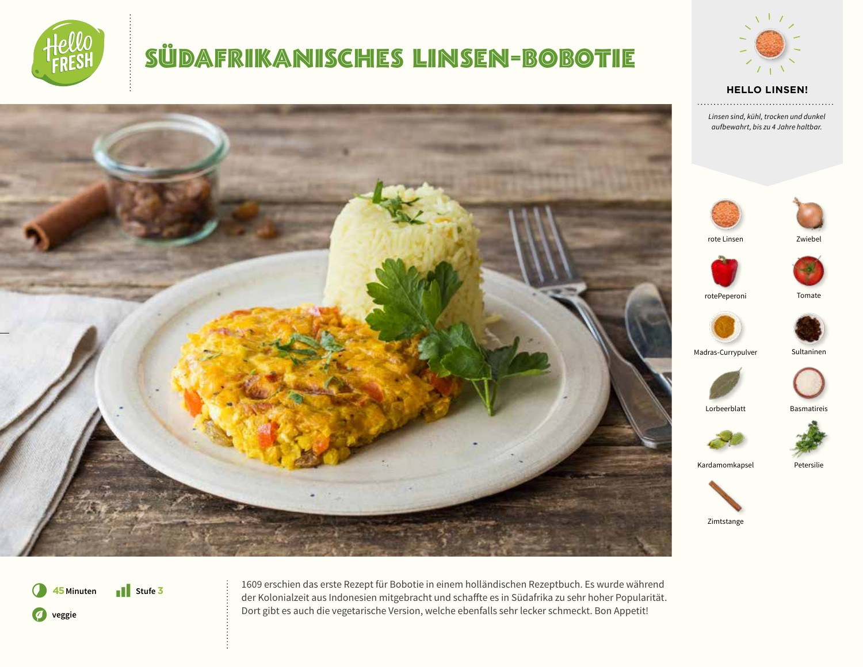

## SÜDAFRIKANISCHES LINSEN-BOBOTIE





*Linsen sind, kühl, trocken und dunkel aufbewahrt, bis zu 4 Jahre haltbar.* 





rote Linsen Zwiebel



rotePeperoni Tomate



Madras-Currypulver Sultaninen



Lorbeerblatt Basmatireis



Kardamomkapsel Petersilie



**41** Stufe **3**  $\boldsymbol{O}$ 45 Minuten **veggie**

1609 erschien das erste Rezept für Bobotie in einem holländischen Rezeptbuch. Es wurde während der Kolonialzeit aus Indonesien mitgebracht und schaffte es in Südafrika zu sehr hoher Popularität. Dort gibt es auch die vegetarische Version, welche ebenfalls sehr lecker schmeckt. Bon Appetit!

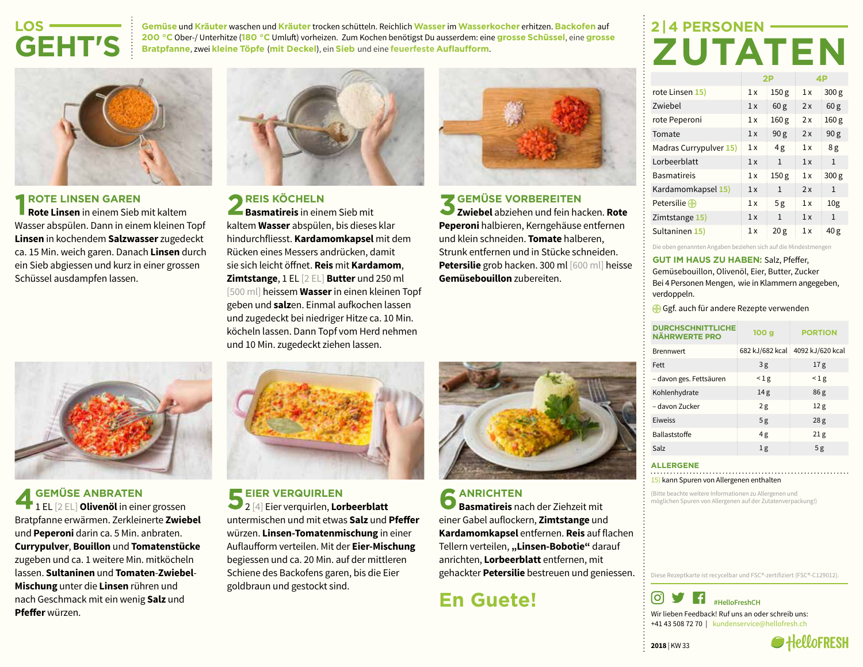### **LOS-GEHT'S**

**Gemüse** und **Kräuter** waschen und **Kräuter** trocken schütteln. Reichlich **Wasser** im **Wasserkocher** erhitzen. **Backofen** auf **200 °C** Ober-/ Unterhitze (**180 °C** Umluft) vorheizen. Zum Kochen benötigst Du ausserdem: eine **grosse Schüssel**, eine **grosse Bratpfanne**, zwei **kleine Töpfe** (**mit Deckel**), ein **Sieb** und eine **feuerfeste Auflaufform**.

### **2 | 4 PERSONEN-ZUTATEN**



#### *ROTE LINSEN GAREN*

**Rote Linsen** in einem Sieb mit kaltem Wasser abspülen. Dann in einem kleinen Topf **Linsen** in kochendem **Salzwasser** zugedeckt ca. 15 Min. weich garen. Danach **Linsen** durch ein Sieb abgiessen und kurz in einer grossen Schüssel ausdampfen lassen.



**GEMÜSE ANBRATEN** 1 EL [2 EL] **Olivenöl** in einer grossen Bratpfanne erwärmen. Zerkleinerte **Zwiebel** und **Peperoni** darin ca. 5 Min. anbraten. **Currypulver**, **Bouillon** und **Tomatenstücke** zugeben und ca. 1 weitere Min. mitköcheln lassen. **Sultaninen** und **Tomaten**-**Zwiebel**-**Mischung** unter die **Linsen** rühren und nach Geschmack mit ein wenig **Salz** und **Pfeffer** würzen.



**REIS KÖCHELN Basmatireis** in einem Sieb mit kaltem **Wasser** abspülen, bis dieses klar hindurchfliesst. **Kardamomkapsel** mit dem Rücken eines Messers andrücken, damit sie sich leicht öffnet. **Reis** mit **Kardamom**, **Zimtstange**, 1 EL [2 EL] **Butter** und 250 ml [500 ml] heissem **Wasser** in einen kleinen Topf geben und **salz**en. Einmal aufkochen lassen und zugedeckt bei niedriger Hitze ca. 10 Min. köcheln lassen. Dann Topf vom Herd nehmen und 10 Min. zugedeckt ziehen lassen.



#### **GEMÜSE VORBEREITEN**

**Zwiebel** abziehen und fein hacken. **Rote Peperoni** halbieren, Kerngehäuse entfernen und klein schneiden. **Tomate** halberen, Strunk entfernen und in Stücke schneiden. **Petersilie** grob hacken. 300 ml [600 ml] heisse **Gemüsebouillon** zubereiten.

# **2P 4P**

| rote Linsen 15)        | 1x | 150 <sub>g</sub> | 1x | 300 <sub>g</sub> |
|------------------------|----|------------------|----|------------------|
| Zwiebel                | 1x | 60 <sub>g</sub>  | 2x | 60 <sub>g</sub>  |
| rote Peperoni          | 1x | 160 <sub>g</sub> | 2x | 160 <sub>g</sub> |
| Tomate                 | 1x | 90 <sub>g</sub>  | 2x | 90 <sub>g</sub>  |
| Madras Currypulver 15) | 1x | 4g               | 1x | 8g               |
| Lorbeerblatt           | 1x | $\mathbf{1}$     | 1x | $\mathbf{1}$     |
| <b>Basmatireis</b>     | 1x | 150 <sub>g</sub> | 1x | 300 g            |
| Kardamomkapsel 15)     | 1x | $\mathbf{1}$     | 2x | $\mathbf{1}$     |
| Petersilie $\bigoplus$ | 1x | 5g               | 1x | 10 <sub>g</sub>  |
| Zimtstange 15)         | 1x | $\mathbf{1}$     | 1x | $\mathbf{1}$     |
| Sultaninen 15)         | 1x | 20g              | 1x | 40g              |

Die oben genannten Angaben beziehen sich auf die Mindestmengen

#### **GUT IM HAUS ZU HABEN:** Salz, Pfeffer,

Gemüsebouillon, Olivenöl, Eier, Butter, Zucker Bei 4 Personen Mengen, wie in Klammern angegeben, verdoppeln.

Gef. auch für andere Rezepte verwenden

| <b>DURCHSCHNITTLICHE</b><br><b>NÄHRWERTE PRO</b> | 100 q           | <b>PORTION</b>   |
|--------------------------------------------------|-----------------|------------------|
| <b>Brennwert</b>                                 | 682 kJ/682 kcal | 4092 kJ/620 kcal |
| Fett                                             | 3g              | 17 <sub>g</sub>  |
| - davon ges. Fettsäuren                          | $\leq$ 1 g      | $\leq$ 1 g       |
| Kohlenhydrate                                    | 14 <sub>g</sub> | 86g              |
| - davon Zucker                                   | 2g              | 12g              |
| Eiweiss                                          | 5g              | 28g              |
| Ballaststoffe                                    | 4g              | 21g              |
| Salz                                             | 1 <sub>g</sub>  | 5g               |

#### **ALLERGENE**

15) kann Spuren von Allergenen enthalten

(Bitte beachte weitere Informationen zu Allergenen und möglichen Spuren von Allergenen auf der Zutatenverpackung!)

Diese Rezeptkarte ist recycelbar und FSC®-zertifiziert (FSC®-C129012).



**2018** | KW 33



## **EIER VERQUIRLEN**

2 [4] Eier verquirlen, **Lorbeerblatt** untermischen und mit etwas **Salz** und **Pfeffer** würzen. **Linsen-Tomatenmischung** in einer Auflaufform verteilen. Mit der **Eier-Mischung** begiessen und ca. 20 Min. auf der mittleren Schiene des Backofens garen, bis die Eier goldbraun und gestockt sind.



#### **ANRICHTEN Basmatireis** nach der Ziehzeit mit einer Gabel auflockern, **Zimtstange** und **Kardamomkapsel** entfernen. **Reis** auf flachen Tellern verteilen, "Linsen-Bobotie" darauf anrichten, **Lorbeerblatt** entfernen, mit gehackter **Petersilie** bestreuen und geniessen.

**En Guete!**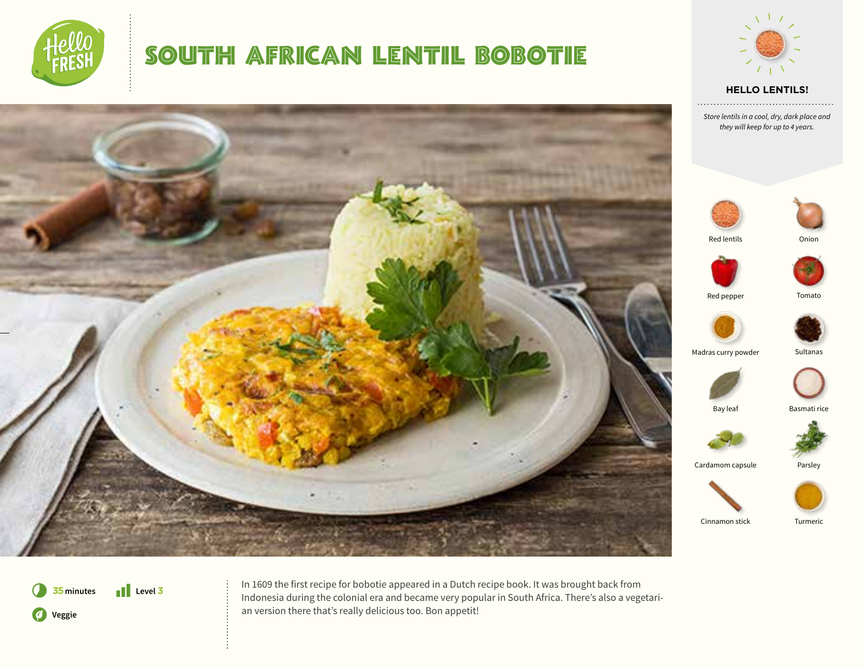

### SOUTH AFRICAN LENTIL BOBOTIE



*Store lentils in a cool, dry, dark place and they will keep for up to 4 years.* 





Red lentils Onion







Madras curry powder Sultanas





Cardamom capsule Parsley



Cinnamon stick Turmeric



In 1609 the first recipe for bobotie appeared in a Dutch recipe book. It was brought back from Indonesia during the colonial era and became very popular in South Africa. There's also a vegetarian version there that's really delicious too. Bon appetit!









Bay leaf Basmati rice

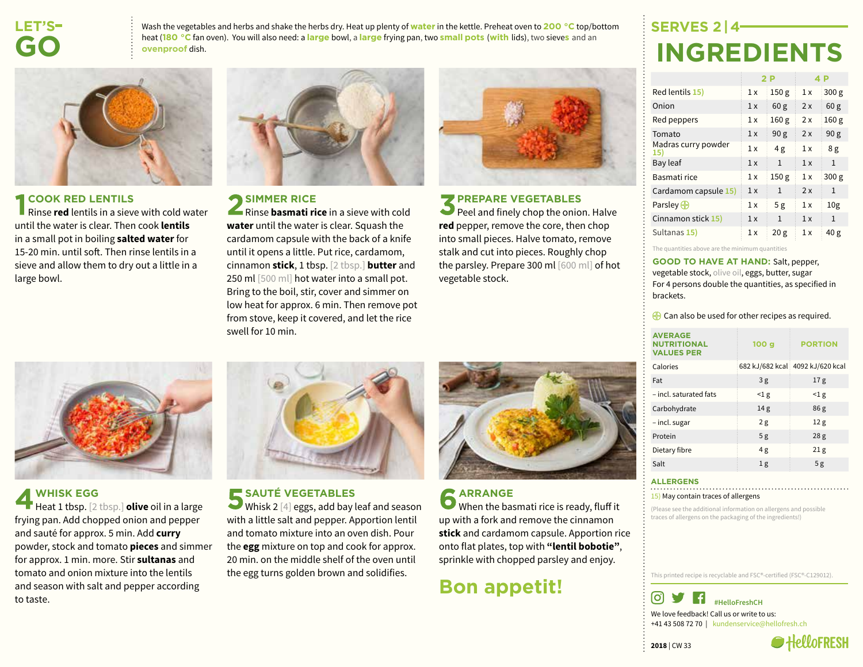### **LET'S  GO**

Wash the vegetables and herbs and shake the herbs dry. Heat up plenty of **water** in the kettle. Preheat oven to **200 °C** top/bottom heat (**180 °C** fan oven). You will also need: a **large** bowl, a **large** frying pan, two **small pots** (**with** lids), two sieve**s** and an **ovenproof** dish.



#### **COOK RED LENTILS**

Rinse **red** lentils in a sieve with cold water until the water is clear. Then cook **lentils** in a small pot in boiling **salted water** for 15-20 min. until soft. Then rinse lentils in a sieve and allow them to dry out a little in a large bowl.



### **SIMMER RICE**

Rinse **basmati rice** in a sieve with cold **water** until the water is clear. Squash the cardamom capsule with the back of a knife until it opens a little. Put rice, cardamom, cinnamon **stick**, 1 tbsp. [2 tbsp.] **butter** and 250 ml [500 ml] hot water into a small pot. Bring to the boil, stir, cover and simmer on low heat for approx. 6 min. Then remove pot from stove, keep it covered, and let the rice swell for 10 min.



#### **PREPARE VEGETABLES**

Peel and finely chop the onion. Halve **red** pepper, remove the core, then chop into small pieces. Halve tomato, remove stalk and cut into pieces. Roughly chop the parsley. Prepare 300 ml [600 ml] of hot vegetable stock.

### **SERVES 2 | 4 INGREDIENTS**

|                           |     | 2 P              |     | 4 P              |
|---------------------------|-----|------------------|-----|------------------|
| Red lentils 15)           | 1 x | 150 <sub>g</sub> | 1x  | 300 <sub>g</sub> |
| Onion                     | 1x  | 60 <sub>g</sub>  | 2x  | 60 <sub>g</sub>  |
| Red peppers               | 1 x | 160g             | 2x  | 160 <sub>g</sub> |
| Tomato                    | 1 x | 90 <sub>g</sub>  | 2x  | 90 <sub>g</sub>  |
| Madras curry powder<br>15 | 1 x | 4g               | 1 x | 8g               |
| Bay leaf                  | 1 x | $\mathbf{1}$     | 1x  | 1                |
| Basmati rice              | 1 x | 150g             | 1x  | 300 <sub>g</sub> |
| Cardamom capsule 15)      | 1x  | $\mathbf{1}$     | 2x  | 1                |
| Parsley $\bigoplus$       | 1 x | 5g               | 1 x | 10 <sub>g</sub>  |
| Cinnamon stick 15)        | 1 x | $\mathbf{1}$     | 1x  | 1                |
| Sultanas 15)              | 1 x | 20g              | 1x  | 40 g             |

The quantities above are the minimum qua

**GOOD TO HAVE AT HAND:** Salt, pepper, vegetable stock, olive oil, eggs, butter, sugar For 4 persons double the quantities, as specified in brackets.

 $\bigoplus$  Can also be used for other recipes as required.

| <b>AVERAGE</b><br><b>NUTRITIONAL</b><br><b>VALUES PER</b> | 100 <sub>g</sub> | <b>PORTION</b>                   |
|-----------------------------------------------------------|------------------|----------------------------------|
| Calories                                                  |                  | 682 kJ/682 kcal 4092 kJ/620 kcal |
| Fat                                                       | 3g               | 17 <sub>g</sub>                  |
| - incl. saturated fats                                    | $\leq$ 1 g       | $\leq$ 1 g                       |
| Carbohydrate                                              | 14 <sub>g</sub>  | 86 <sub>g</sub>                  |
| - incl. sugar                                             | 2g               | 12 <sub>g</sub>                  |
| Protein                                                   | 5g               | 28 <sub>g</sub>                  |
| Dietary fibre                                             | 4g               | 21 <sub>g</sub>                  |
| Salt                                                      | 1 <sub>g</sub>   | 5g                               |

#### **ALLERGENS**

15) May contain traces of allergens

(Please see the additional information on allergens and possible traces of allergens on the packaging of the ingredients!)

This printed recipe is recyclable and FSC®-certified (FSC®-C129012).







### **WHISK EGG**

Heat 1 tbsp. [2 tbsp.] **olive** oil in a large frying pan. Add chopped onion and pepper and sauté for approx. 5 min. Add **curry** powder, stock and tomato **pieces** and simmer for approx. 1 min. more. Stir **sultanas** and tomato and onion mixture into the lentils and season with salt and pepper according to taste.



### SAUTÉ VEGETABLES

Whisk 2 [4] eggs, add bay leaf and season with a little salt and pepper. Apportion lentil and tomato mixture into an oven dish. Pour the **egg** mixture on top and cook for approx. 20 min. on the middle shelf of the oven until the egg turns golden brown and solidifies.



### **ARRANGE** When the basmati rice is ready, fluff it up with a fork and remove the cinnamon **stick** and cardamom capsule. Apportion rice onto flat plates, top with **"lentil bobotie"**, sprinkle with chopped parsley and enjoy.

### **Bon appetit!**

**2018** | CW 33

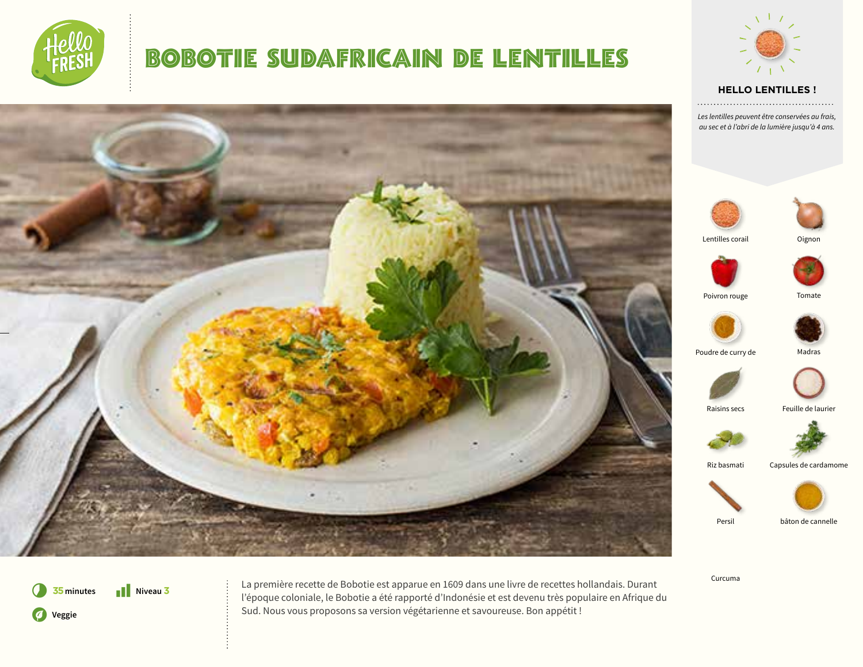

### BOBOTIE SUDAFRICAIN DE LENTILLES



Poivron rouge Tomate Persil bâton de cannelle Riz basmati Capsules de cardamome Raisins secs Feuille de laurier

Curcuma



La première recette de Bobotie est apparue en 1609 dans une livre de recettes hollandais. Durant l'époque coloniale, le Bobotie a été rapporté d'Indonésie et est devenu très populaire en Afrique du Sud. Nous vous proposons sa version végétarienne et savoureuse. Bon appétit !